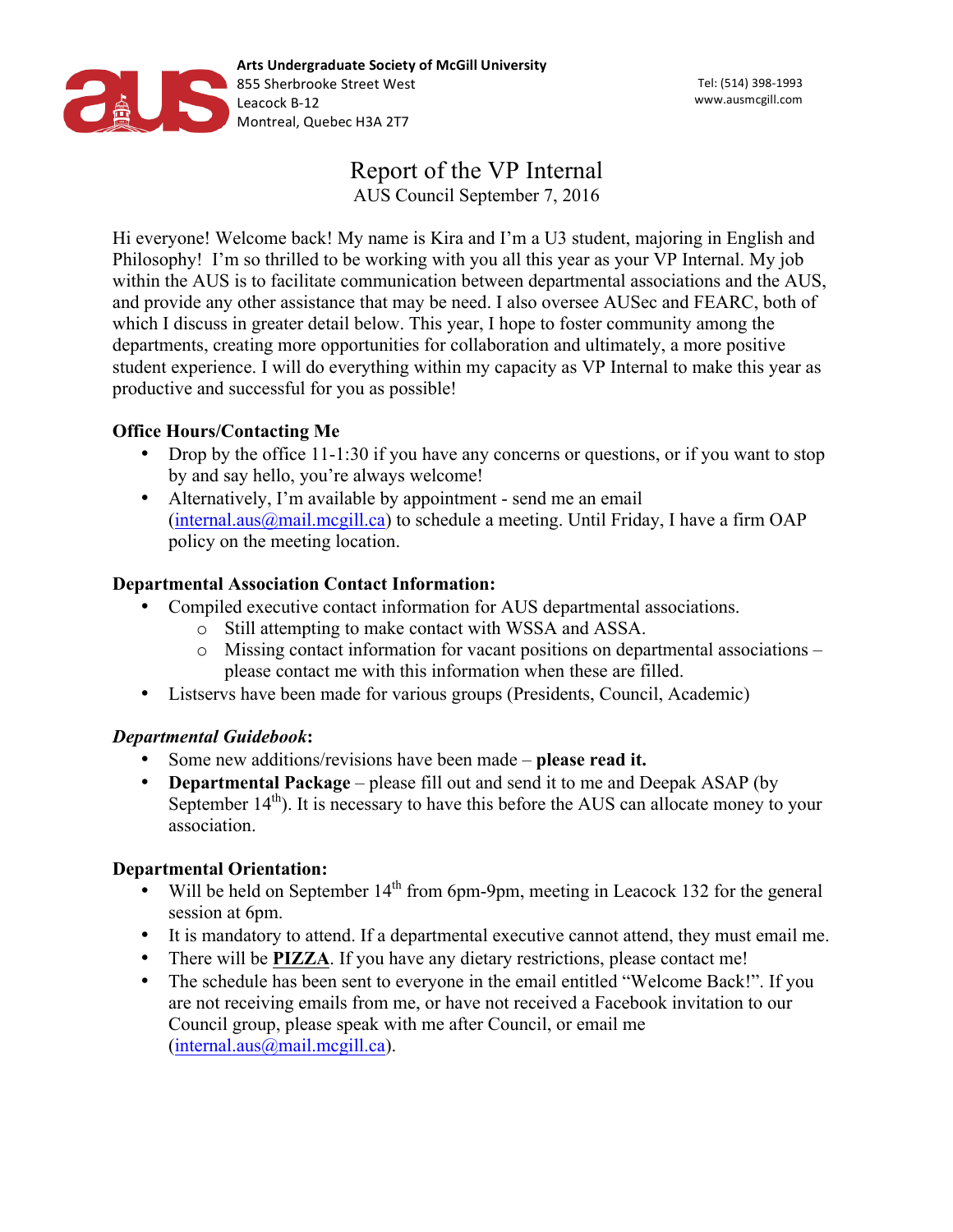

# Report of the VP Internal AUS Council September 7, 2016

Hi everyone! Welcome back! My name is Kira and I'm a U3 student, majoring in English and Philosophy! I'm so thrilled to be working with you all this year as your VP Internal. My job within the AUS is to facilitate communication between departmental associations and the AUS, and provide any other assistance that may be need. I also oversee AUSec and FEARC, both of which I discuss in greater detail below. This year, I hope to foster community among the departments, creating more opportunities for collaboration and ultimately, a more positive student experience. I will do everything within my capacity as VP Internal to make this year as productive and successful for you as possible!

# **Office Hours/Contacting Me**

- Drop by the office 11-1:30 if you have any concerns or questions, or if you want to stop by and say hello, you're always welcome!
- Alternatively, I'm available by appointment send me an email  $(internal.aus@mail.mcgill.ca)$  to schedule a meeting. Until Friday, I have a firm OAP policy on the meeting location.

# **Departmental Association Contact Information:**

- Compiled executive contact information for AUS departmental associations.
	- o Still attempting to make contact with WSSA and ASSA.
	- o Missing contact information for vacant positions on departmental associations please contact me with this information when these are filled.
- Listservs have been made for various groups (Presidents, Council, Academic)

# *Departmental Guidebook***:**

- Some new additions/revisions have been made **please read it.**
- **Departmental Package** please fill out and send it to me and Deepak ASAP (by September  $14<sup>th</sup>$ ). It is necessary to have this before the AUS can allocate money to your association.

# **Departmental Orientation:**

- Will be held on September  $14<sup>th</sup>$  from 6pm-9pm, meeting in Leacock 132 for the general session at 6pm.
- It is mandatory to attend. If a departmental executive cannot attend, they must email me.
- There will be **PIZZA**. If you have any dietary restrictions, please contact me!
- The schedule has been sent to everyone in the email entitled "Welcome Back!". If you are not receiving emails from me, or have not received a Facebook invitation to our Council group, please speak with me after Council, or email me (internal.aus@mail.mcgill.ca).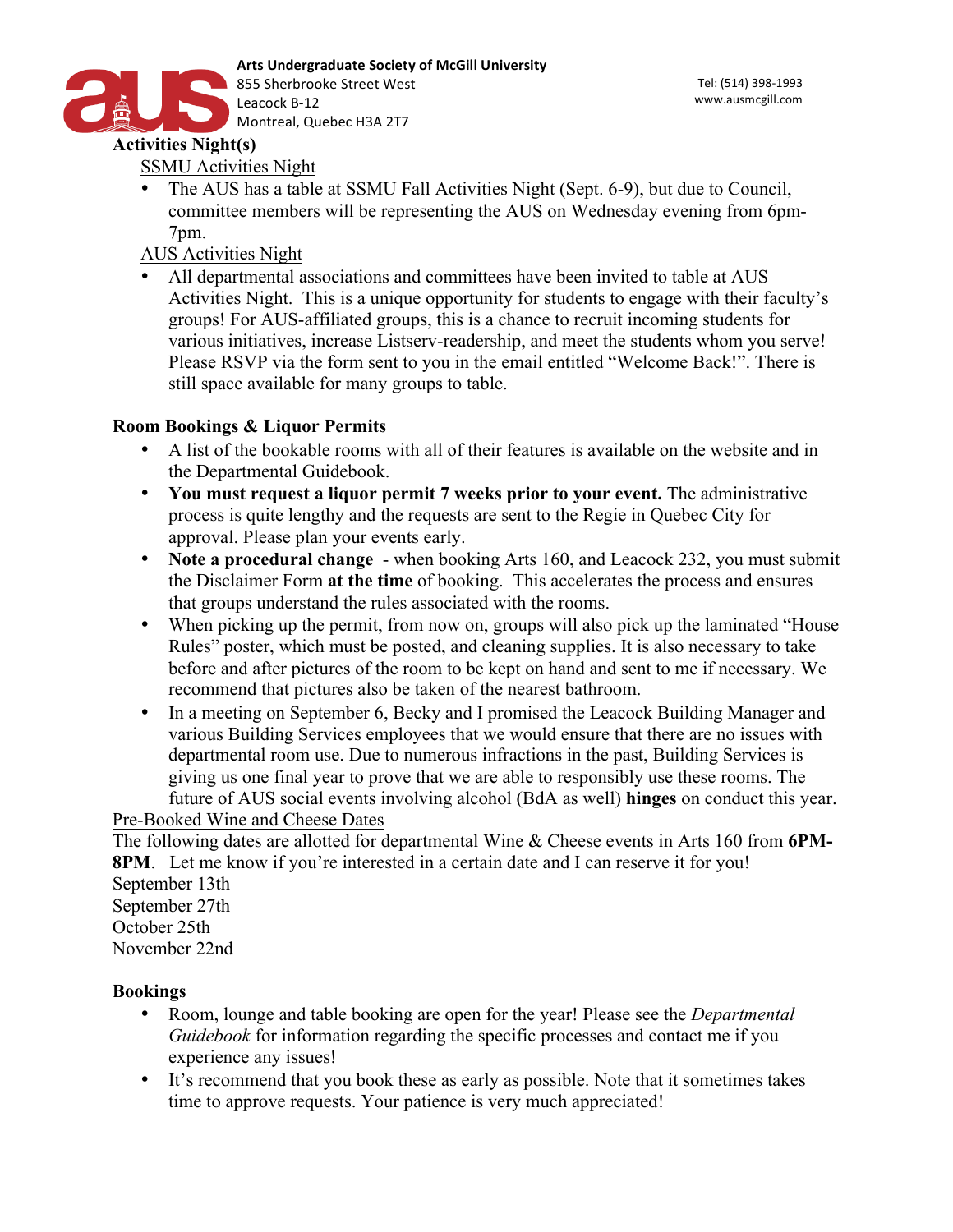

SSMU Activities Night

• The AUS has a table at SSMU Fall Activities Night (Sept. 6-9), but due to Council, committee members will be representing the AUS on Wednesday evening from 6pm-7pm.

AUS Activities Night

All departmental associations and committees have been invited to table at AUS Activities Night. This is a unique opportunity for students to engage with their faculty's groups! For AUS-affiliated groups, this is a chance to recruit incoming students for various initiatives, increase Listserv-readership, and meet the students whom you serve! Please RSVP via the form sent to you in the email entitled "Welcome Back!". There is still space available for many groups to table.

# **Room Bookings & Liquor Permits**

- A list of the bookable rooms with all of their features is available on the website and in the Departmental Guidebook.
- **You must request a liquor permit 7 weeks prior to your event.** The administrative process is quite lengthy and the requests are sent to the Regie in Quebec City for approval. Please plan your events early.
- **Note a procedural change**  when booking Arts 160, and Leacock 232, you must submit the Disclaimer Form **at the time** of booking. This accelerates the process and ensures that groups understand the rules associated with the rooms.
- When picking up the permit, from now on, groups will also pick up the laminated "House Rules" poster, which must be posted, and cleaning supplies. It is also necessary to take before and after pictures of the room to be kept on hand and sent to me if necessary. We recommend that pictures also be taken of the nearest bathroom.
- In a meeting on September 6, Becky and I promised the Leacock Building Manager and various Building Services employees that we would ensure that there are no issues with departmental room use. Due to numerous infractions in the past, Building Services is giving us one final year to prove that we are able to responsibly use these rooms. The future of AUS social events involving alcohol (BdA as well) **hinges** on conduct this year.

# Pre-Booked Wine and Cheese Dates

The following dates are allotted for departmental Wine & Cheese events in Arts 160 from **6PM-8PM**. Let me know if you're interested in a certain date and I can reserve it for you! September 13th September 27th October 25th November 22nd

#### **Bookings**

- Room, lounge and table booking are open for the year! Please see the *Departmental Guidebook* for information regarding the specific processes and contact me if you experience any issues!
- It's recommend that you book these as early as possible. Note that it sometimes takes time to approve requests. Your patience is very much appreciated!